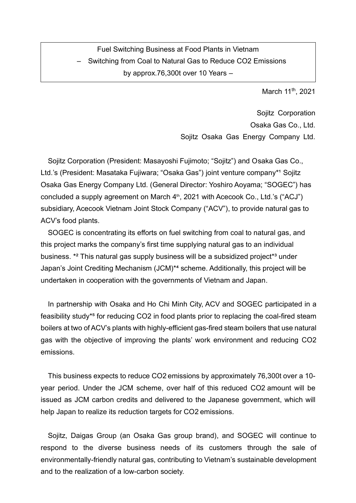# Fuel Switching Business at Food Plants in Vietnam – Switching from Coal to Natural Gas to Reduce CO2 Emissions by approx.76,300t over 10 Years –

March 11<sup>th</sup>, 2021

Sojitz Corporation Osaka Gas Co., Ltd. Sojitz Osaka Gas Energy Company Ltd.

Sojitz Corporation (President: Masayoshi Fujimoto; "Sojitz") and Osaka Gas Co., Ltd.'s (President: Masataka Fujiwara; "Osaka Gas") joint venture company\*1 Sojitz Osaka Gas Energy Company Ltd. (General Director: Yoshiro Aoyama; "SOGEC") has concluded a supply agreement on March 4<sup>th</sup>, 2021 with Acecook Co., Ltd.'s ("ACJ") subsidiary, Acecook Vietnam Joint Stock Company ("ACV"), to provide natural gas to ACV's food plants.

SOGEC is concentrating its efforts on fuel switching from coal to natural gas, and this project marks the company's first time supplying natural gas to an individual business. \*<sup>2</sup> This natural gas supply business will be a subsidized project<sup>\*3</sup> under Japan's Joint Crediting Mechanism (JCM)<sup>\*4</sup> scheme. Additionally, this project will be undertaken in cooperation with the governments of Vietnam and Japan.

In partnership with Osaka and Ho Chi Minh City, ACV and SOGEC participated in a feasibility study\*<sup>5</sup> for reducing CO2 in food plants prior to replacing the coal-fired steam boilers at two of ACV's plants with highly-efficient gas-fired steam boilers that use natural gas with the objective of improving the plants' work environment and reducing CO2 emissions.

This business expects to reduce CO2 emissions by approximately 76,300t over a 10 year period. Under the JCM scheme, over half of this reduced CO2 amount will be issued as JCM carbon credits and delivered to the Japanese government, which will help Japan to realize its reduction targets for CO2 emissions.

Sojitz, Daigas Group (an Osaka Gas group brand), and SOGEC will continue to respond to the diverse business needs of its customers through the sale of environmentally-friendly natural gas, contributing to Vietnam's sustainable development and to the realization of a low-carbon society.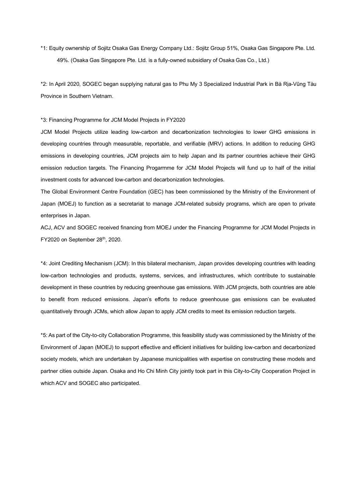\*1: Equity ownership of Sojitz Osaka Gas Energy Company Ltd.: Sojitz Group 51%, Osaka Gas Singapore Pte. Ltd. 49%. (Osaka Gas Singapore Pte. Ltd. is a fully-owned subsidiary of Osaka Gas Co., Ltd.)

\*2: In April 2020, SOGEC began supplying natural gas to Phu My 3 Specialized Industrial Park in Bà Rịa-Vũng Tàu Province in Southern Vietnam.

\*3: Financing Programme for JCM Model Projects in FY2020

JCM Model Projects utilize leading low-carbon and decarbonization technologies to lower GHG emissions in developing countries through measurable, reportable, and verifiable (MRV) actions. In addition to reducing GHG emissions in developing countries, JCM projects aim to help Japan and its partner countries achieve their GHG emission reduction targets. The Financing Progarmme for JCM Model Projects will fund up to half of the initial investment costs for advanced low-carbon and decarbonization technologies.

The Global Environment Centre Foundation (GEC) has been commissioned by the Ministry of the Environment of Japan (MOEJ) to function as a secretariat to manage JCM-related subsidy programs, which are open to private enterprises in Japan.

ACJ, ACV and SOGEC received financing from MOEJ under the Financing Programme for JCM Model Projects in  $FY2020$  on September  $28<sup>th</sup>$ , 2020.

\*4: Joint Crediting Mechanism (JCM): In this bilateral mechanism, Japan provides developing countries with leading low-carbon technologies and products, systems, services, and infrastructures, which contribute to sustainable development in these countries by reducing greenhouse gas emissions. With JCM projects, both countries are able to benefit from reduced emissions. Japan's efforts to reduce greenhouse gas emissions can be evaluated quantitatively through JCMs, which allow Japan to apply JCM credits to meet its emission reduction targets.

\*5: As part of the City-to-city Collaboration Programme, this feasibility study was commissioned by the Ministry of the Environment of Japan (MOEJ) to support effective and efficient initiatives for building low-carbon and decarbonized society models, which are undertaken by Japanese municipalities with expertise on constructing these models and partner cities outside Japan. Osaka and Ho Chi Minh City jointly took part in this City-to-City Cooperation Project in which ACV and SOGEC also participated.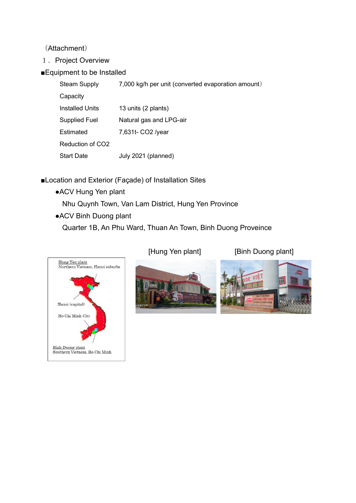(Attachment)

- 1. Project Overview
- ■Equipment to be Installed

| <b>Steam Supply</b>          | 7,000 kg/h per unit (converted evaporation amount) |
|------------------------------|----------------------------------------------------|
| Capacity                     |                                                    |
| <b>Installed Units</b>       | 13 units (2 plants)                                |
| <b>Supplied Fuel</b>         | Natural gas and LPG-air                            |
| Estimated                    | 7,631t- CO2 /year                                  |
| Reduction of CO <sub>2</sub> |                                                    |
| <b>Start Date</b>            | July 2021 (planned)                                |

- ■Location and Exterior (Façade) of Installation Sites
	- ●ACV Hung Yen plant

Nhu Quynh Town, Van Lam District, Hung Yen Province

●ACV Binh Duong plant

Quarter 1B, An Phu Ward, Thuan An Town, Binh Duong Proveince



[Hung Yen plant] [Binh Duong plant]



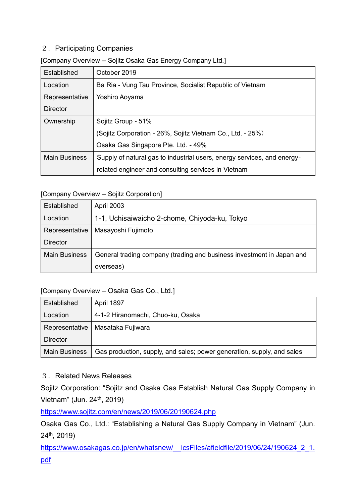# 2. Participating Companies

#### [Company Overview – Sojitz Osaka Gas Energy Company Ltd.]

| Established          | October 2019                                                            |  |
|----------------------|-------------------------------------------------------------------------|--|
| Location             | Ba Ria - Vung Tau Province, Socialist Republic of Vietnam               |  |
| Representative       | Yoshiro Aoyama                                                          |  |
| Director             |                                                                         |  |
| Ownership            | Sojitz Group - 51%                                                      |  |
|                      | (Sojitz Corporation - 26%, Sojitz Vietnam Co., Ltd. - 25%)              |  |
|                      | Osaka Gas Singapore Pte. Ltd. - 49%                                     |  |
| <b>Main Business</b> | Supply of natural gas to industrial users, energy services, and energy- |  |
|                      | related engineer and consulting services in Vietnam                     |  |

### [Company Overview – Sojitz Corporation]

| Established          | <b>April 2003</b>                                                     |  |
|----------------------|-----------------------------------------------------------------------|--|
| Location             | 1-1, Uchisaiwaicho 2-chome, Chiyoda-ku, Tokyo                         |  |
| Representative       | Masayoshi Fujimoto                                                    |  |
| <b>Director</b>      |                                                                       |  |
| <b>Main Business</b> | General trading company (trading and business investment in Japan and |  |
|                      | overseas)                                                             |  |

# [Company Overview – Osaka Gas Co., Ltd.]

| Established          | April 1897                                                             |
|----------------------|------------------------------------------------------------------------|
| Location             | 4-1-2 Hiranomachi, Chuo-ku, Osaka                                      |
| Representative       | Masataka Fujiwara                                                      |
| <b>Director</b>      |                                                                        |
| <b>Main Business</b> | Gas production, supply, and sales; power generation, supply, and sales |

# 3.Related News Releases

Sojitz Corporation: "Sojitz and Osaka Gas Establish Natural Gas Supply Company in Vietnam" (Jun. 24<sup>th</sup>, 2019)

<https://www.sojitz.com/en/news/2019/06/20190624.php>

Osaka Gas Co., Ltd.: "Establishing a Natural Gas Supply Company in Vietnam" (Jun. 24th, 2019)

https://www.osakagas.co.jp/en/whatsnew/ icsFiles/afieldfile/2019/06/24/190624 2 1. [pdf](https://www.osakagas.co.jp/en/whatsnew/__icsFiles/afieldfile/2019/06/24/190624_2_1.pdf)